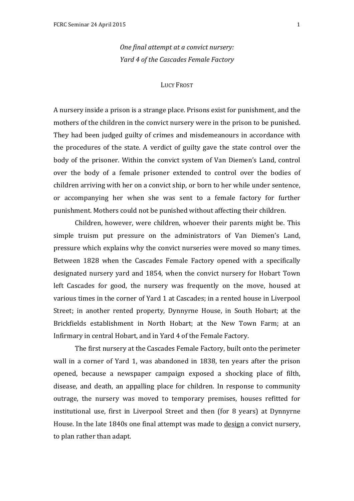*One final attempt at a convict nursery: Yard 4 of the Cascades Female Factory* 

## **LUCY FROST**

A nursery inside a prison is a strange place. Prisons exist for punishment, and the mothers of the children in the convict nursery were in the prison to be punished. They had been judged guilty of crimes and misdemeanours in accordance with the procedures of the state. A verdict of guilty gave the state control over the body of the prisoner. Within the convict system of Van Diemen's Land, control over the body of a female prisoner extended to control over the bodies of children arriving with her on a convict ship, or born to her while under sentence, or accompanying her when she was sent to a female factory for further punishment. Mothers could not be punished without affecting their children.

Children, however, were children, whoever their parents might be. This simple truism put pressure on the administrators of Van Diemen's Land, pressure which explains why the convict nurseries were moved so many times. Between 1828 when the Cascades Female Factory opened with a specifically designated nursery vard and 1854, when the convict nursery for Hobart Town left Cascades for good, the nursery was frequently on the move, housed at various times in the corner of Yard 1 at Cascades; in a rented house in Liverpool Street; in another rented property, Dynnyrne House, in South Hobart; at the Brickfields establishment in North Hobart; at the New Town Farm; at an Infirmary in central Hobart, and in Yard 4 of the Female Factory.

The first nursery at the Cascades Female Factory, built onto the perimeter wall in a corner of Yard 1, was abandoned in 1838, ten years after the prison opened, because a newspaper campaign exposed a shocking place of filth, disease, and death, an appalling place for children. In response to community outrage, the nursery was moved to temporary premises, houses refitted for institutional use, first in Liverpool Street and then (for 8 years) at Dynnyrne House. In the late 1840s one final attempt was made to design a convict nursery, to plan rather than adapt.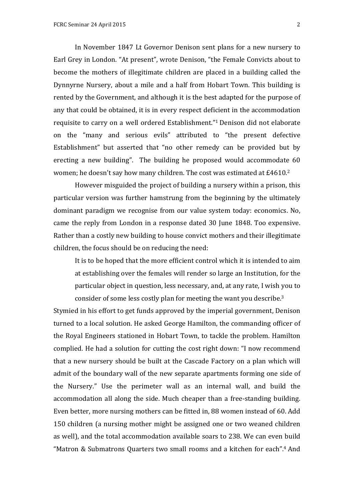In November 1847 Lt Governor Denison sent plans for a new nursery to Earl Grey in London. "At present", wrote Denison, "the Female Convicts about to become the mothers of illegitimate children are placed in a building called the Dynnyrne Nursery, about a mile and a half from Hobart Town. This building is rented by the Government, and although it is the best adapted for the purpose of any that could be obtained, it is in every respect deficient in the accommodation requisite to carry on a well ordered Establishment."1 Denison did not elaborate on the "many and serious evils" attributed to "the present defective Establishment" but asserted that "no other remedy can be provided but by erecting a new building". The building he proposed would accommodate 60 women; he doesn't say how many children. The cost was estimated at £4610.2

However misguided the project of building a nursery within a prison, this particular version was further hamstrung from the beginning by the ultimately dominant paradigm we recognise from our value system today: economics. No, came the reply from London in a response dated 30 June 1848. Too expensive. Rather than a costly new building to house convict mothers and their illegitimate children, the focus should be on reducing the need:

It is to be hoped that the more efficient control which it is intended to aim at establishing over the females will render so large an Institution, for the particular object in question, less necessary, and, at any rate, I wish you to consider of some less costly plan for meeting the want you describe.<sup>3</sup>

Stymied in his effort to get funds approved by the imperial government, Denison turned to a local solution. He asked George Hamilton, the commanding officer of the Royal Engineers stationed in Hobart Town, to tackle the problem. Hamilton complied. He had a solution for cutting the cost right down: "I now recommend that a new nursery should be built at the Cascade Factory on a plan which will admit of the boundary wall of the new separate apartments forming one side of the Nursery." Use the perimeter wall as an internal wall, and build the accommodation all along the side. Much cheaper than a free-standing building. Even better, more nursing mothers can be fitted in, 88 women instead of 60. Add 150 children (a nursing mother might be assigned one or two weaned children as well), and the total accommodation available soars to 238. We can even build "Matron & Submatrons Quarters two small rooms and a kitchen for each".<sup>4</sup> And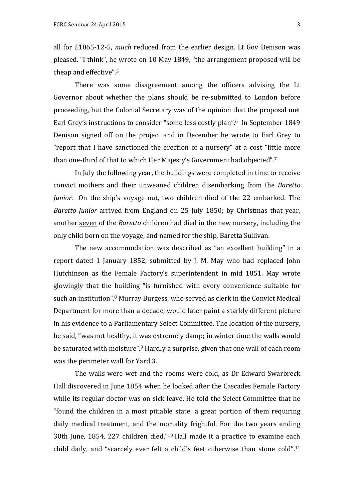all for £1865-12-5, *much* reduced from the earlier design. Lt Gov Denison was pleased. "I think", he wrote on 10 May 1849, "the arrangement proposed will be cheap and effective". $5$ 

There was some disagreement among the officers advising the Lt Governor about whether the plans should be re-submitted to London before proceeding, but the Colonial Secretary was of the opinion that the proposal met Earl Grey's instructions to consider "some less costly plan".<sup>6</sup> In September 1849 Denison signed off on the project and in December he wrote to Earl Grey to "report that I have sanctioned the erection of a nursery" at a cost "little more than one-third of that to which Her Majesty's Government had objected".<sup>7</sup>

In July the following year, the buildings were completed in time to receive convict mothers and their unweaned children disembarking from the *Baretto Junior.* On the ship's voyage out, two children died of the 22 embarked. The *Baretto Junior* arrived from England on 25 July 1850; by Christmas that year, another seven of the *Baretto* children had died in the new nursery, including the only child born on the voyage, and named for the ship, Baretta Sullivan.

The new accommodation was described as "an excellent building" in a report dated 1 January 1852, submitted by J. M. May who had replaced John Hutchinson as the Female Factory's superintendent in mid 1851. May wrote glowingly that the building "is furnished with every convenience suitable for such an institution".<sup>8</sup> Murray Burgess, who served as clerk in the Convict Medical Department for more than a decade, would later paint a starkly different picture in his evidence to a Parliamentary Select Committee. The location of the nursery, he said, "was not healthy, it was extremely damp; in winter time the walls would be saturated with moisture".<sup>9</sup> Hardly a surprise, given that one wall of each room was the perimeter wall for Yard 3.

The walls were wet and the rooms were cold, as Dr Edward Swarbreck Hall discovered in June 1854 when he looked after the Cascades Female Factory while its regular doctor was on sick leave. He told the Select Committee that he "found the children in a most pitiable state; a great portion of them requiring daily medical treatment, and the mortality frightful. For the two years ending 30th June, 1854, 227 children died."<sup>10</sup> Hall made it a practice to examine each child daily, and "scarcely ever felt a child's feet otherwise than stone cold".<sup>11</sup>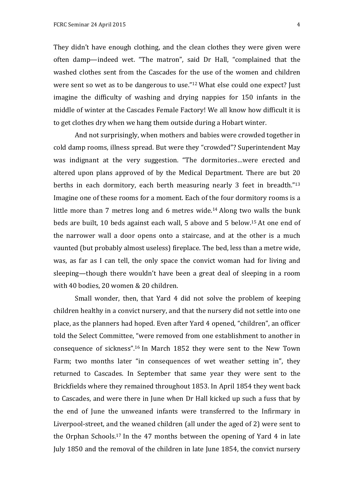They didn't have enough clothing, and the clean clothes they were given were often damp—indeed wet. "The matron", said Dr Hall, "complained that the washed clothes sent from the Cascades for the use of the women and children were sent so wet as to be dangerous to use."<sup>12</sup> What else could one expect? Just imagine the difficulty of washing and drying nappies for 150 infants in the middle of winter at the Cascades Female Factory! We all know how difficult it is to get clothes dry when we hang them outside during a Hobart winter.

And not surprisingly, when mothers and babies were crowded together in cold damp rooms, illness spread. But were they "crowded"? Superintendent May was indignant at the very suggestion. "The dormitories...were erected and altered upon plans approved of by the Medical Department. There are but  $20$ berths in each dormitory, each berth measuring nearly 3 feet in breadth." $13$ Imagine one of these rooms for a moment. Each of the four dormitory rooms is a little more than  $7$  metres long and  $6$  metres wide.<sup>14</sup> Along two walls the bunk beds are built, 10 beds against each wall, 5 above and 5 below.<sup>15</sup> At one end of the narrower wall a door opens onto a staircase, and at the other is a much vaunted (but probably almost useless) fireplace. The bed, less than a metre wide, was, as far as I can tell, the only space the convict woman had for living and sleeping—though there wouldn't have been a great deal of sleeping in a room with 40 bodies, 20 women & 20 children.

Small wonder, then, that Yard 4 did not solve the problem of keeping children healthy in a convict nursery, and that the nursery did not settle into one place, as the planners had hoped. Even after Yard 4 opened, "children", an officer told the Select Committee, "were removed from one establishment to another in consequence of sickness".<sup>16</sup> In March  $1852$  they were sent to the New Town Farm; two months later "in consequences of wet weather setting in", they returned to Cascades. In September that same year they were sent to the Brickfields where they remained throughout 1853. In April 1854 they went back to Cascades, and were there in June when Dr Hall kicked up such a fuss that by the end of June the unweaned infants were transferred to the Infirmary in Liverpool-street, and the weaned children (all under the aged of 2) were sent to the Orphan Schools.<sup>17</sup> In the 47 months between the opening of Yard 4 in late July 1850 and the removal of the children in late June 1854, the convict nursery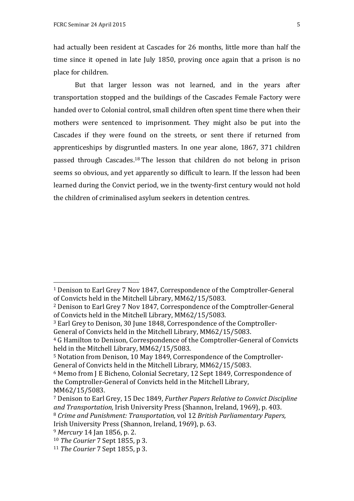had actually been resident at Cascades for 26 months, little more than half the time since it opened in late July 1850, proving once again that a prison is no place for children.

But that larger lesson was not learned, and in the years after transportation stopped and the buildings of the Cascades Female Factory were handed over to Colonial control, small children often spent time there when their mothers were sentenced to imprisonment. They might also be put into the Cascades if they were found on the streets, or sent there if returned from apprenticeships by disgruntled masters. In one year alone, 1867, 371 children passed through Cascades.<sup>18</sup> The lesson that children do not belong in prison seems so obvious, and yet apparently so difficult to learn. If the lesson had been learned during the Convict period, we in the twenty-first century would not hold the children of criminalised asylum seekers in detention centres.

<sup>3</sup> Earl Grey to Denison, 30 June 1848, Correspondence of the Comptroller-

\$\$\$\$\$\$\$\$\$\$\$\$\$\$\$\$\$\$\$\$\$\$\$\$\$\$\$\$\$\$\$\$\$\$\$\$\$\$\$\$\$\$\$\$\$\$\$\$\$\$\$\$\$\$\$

<sup>&</sup>lt;sup>1</sup> Denison to Earl Grey 7 Nov 1847, Correspondence of the Comptroller-General of Convicts held in the Mitchell Library, MM62/15/5083.

<sup>&</sup>lt;sup>2</sup> Denison to Earl Grey 7 Nov 1847, Correspondence of the Comptroller-General of Convicts held in the Mitchell Library, MM62/15/5083.

General of Convicts held in the Mitchell Library, MM62/15/5083.

<sup>&</sup>lt;sup>4</sup> G Hamilton to Denison, Correspondence of the Comptroller-General of Convicts held in the Mitchell Library,  $MM62/15/5083$ .

<sup>&</sup>lt;sup>5</sup> Notation from Denison, 10 May 1849, Correspondence of the Comptroller-General of Convicts held in the Mitchell Library, MM62/15/5083.

 $6$  Memo from J E Bicheno, Colonial Secretary, 12 Sept 1849, Correspondence of the Comptroller-General of Convicts held in the Mitchell Library, MM62/15/5083.

<sup>&</sup>lt;sup>7</sup> Denison to Earl Grey, 15 Dec 1849, *Further Papers Relative to Convict Discipline and Transportation, Irish University Press (Shannon, Ireland, 1969), p. 403.* 8 *Crime and Punishment: Transportation,* vol 12 *British Parliamentary Papers,* Irish University Press (Shannon, Ireland, 1969), p. 63.

<sup>&</sup>lt;sup>9</sup> Mercury 14 Jan 1856, p. 2.

<sup>&</sup>lt;sup>10</sup> *The Courier* 7 Sept 1855, p 3.

<sup>&</sup>lt;sup>11</sup> *The Courier* 7 Sept 1855, p 3.